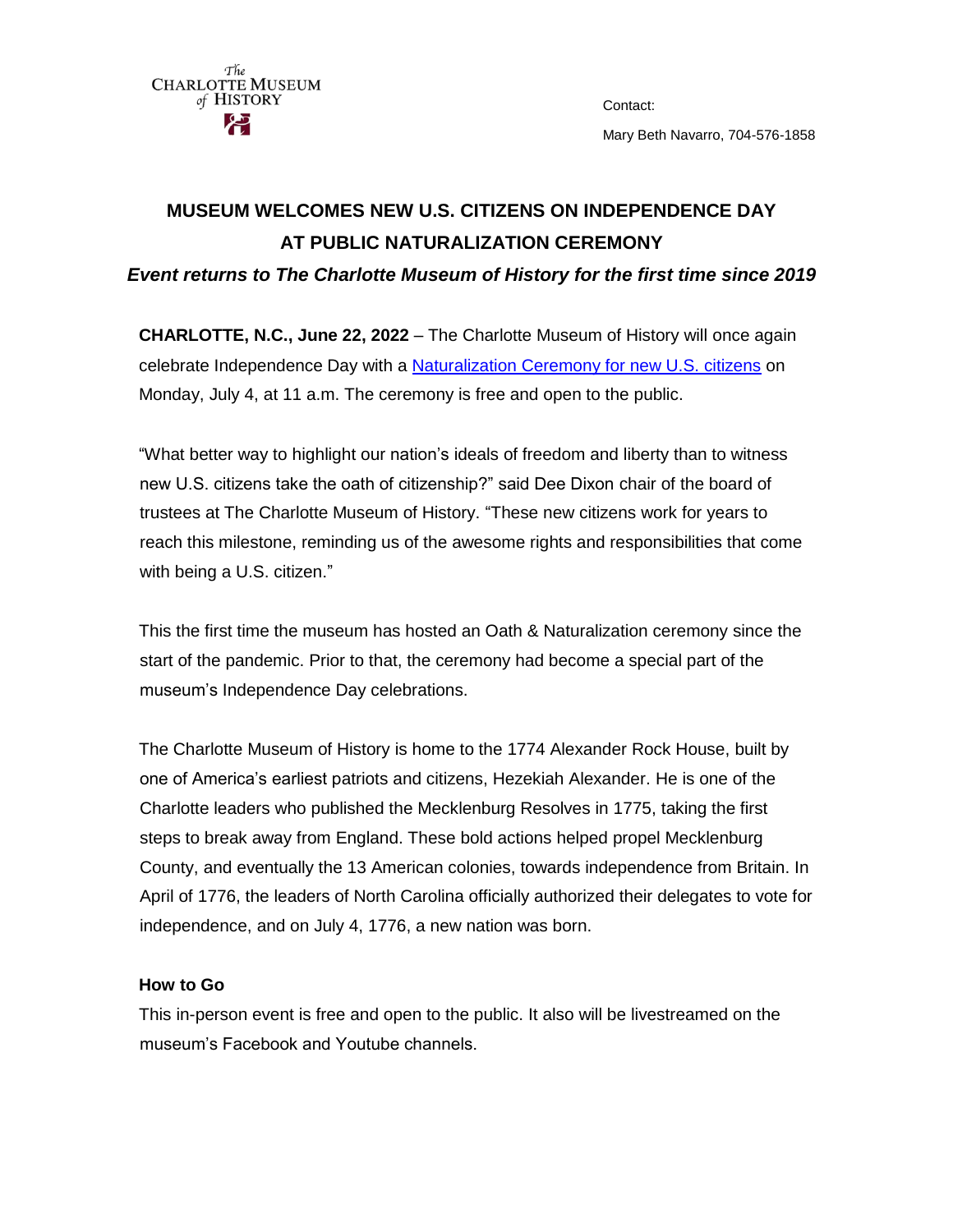

Contact: Mary Beth Navarro, 704-576-1858

## **MUSEUM WELCOMES NEW U.S. CITIZENS ON INDEPENDENCE DAY AT PUBLIC NATURALIZATION CEREMONY**

*Event returns to The Charlotte Museum of History for the first time since 2019*

**CHARLOTTE, N.C., June 22, 2022** – The Charlotte Museum of History will once again celebrate Independence Day with a [Naturalization Ceremony for new U.S. citizens](https://www.uscis.gov/citizenship/learn-about-citizenship/the-naturalization-interview-and-test/naturalization-oath-of-allegiance-to-the-united-states-of-america) on Monday, July 4, at 11 a.m. The ceremony is free and open to the public.

"What better way to highlight our nation's ideals of freedom and liberty than to witness new U.S. citizens take the oath of citizenship?" said Dee Dixon chair of the board of trustees at The Charlotte Museum of History. "These new citizens work for years to reach this milestone, reminding us of the awesome rights and responsibilities that come with being a U.S. citizen."

This the first time the museum has hosted an Oath & Naturalization ceremony since the start of the pandemic. Prior to that, the ceremony had become a special part of the museum's Independence Day celebrations.

The Charlotte Museum of History is home to the 1774 Alexander Rock House, built by one of America's earliest patriots and citizens, Hezekiah Alexander. He is one of the Charlotte leaders who published the Mecklenburg Resolves in 1775, taking the first steps to break away from England. These bold actions helped propel Mecklenburg County, and eventually the 13 American colonies, towards independence from Britain. In April of 1776, the leaders of North Carolina officially authorized their delegates to vote for independence, and on July 4, 1776, a new nation was born.

## **How to Go**

This in-person event is free and open to the public. It also will be livestreamed on the museum's Facebook and Youtube channels.